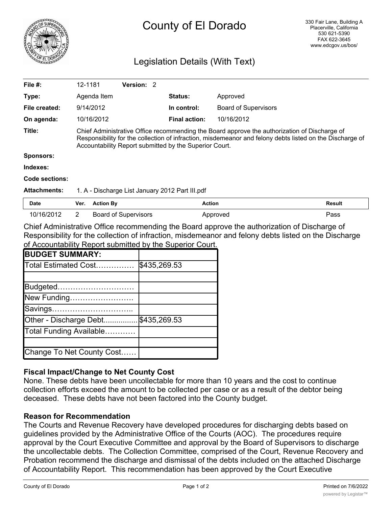

# County of El Dorado

## Legislation Details (With Text)

| File $#$ :          | 12-1181                                                                                                                                                                                                                                                            |                  | <b>Version: 2</b>           |  |                      |                             |        |
|---------------------|--------------------------------------------------------------------------------------------------------------------------------------------------------------------------------------------------------------------------------------------------------------------|------------------|-----------------------------|--|----------------------|-----------------------------|--------|
| Type:               |                                                                                                                                                                                                                                                                    | Agenda Item      |                             |  | <b>Status:</b>       | Approved                    |        |
| File created:       |                                                                                                                                                                                                                                                                    | 9/14/2012        |                             |  | In control:          | <b>Board of Supervisors</b> |        |
| On agenda:          |                                                                                                                                                                                                                                                                    | 10/16/2012       |                             |  | <b>Final action:</b> | 10/16/2012                  |        |
| Title:              | Chief Administrative Office recommending the Board approve the authorization of Discharge of<br>Responsibility for the collection of infraction, misdemeanor and felony debts listed on the Discharge of<br>Accountability Report submitted by the Superior Court. |                  |                             |  |                      |                             |        |
| <b>Sponsors:</b>    |                                                                                                                                                                                                                                                                    |                  |                             |  |                      |                             |        |
| Indexes:            |                                                                                                                                                                                                                                                                    |                  |                             |  |                      |                             |        |
| Code sections:      |                                                                                                                                                                                                                                                                    |                  |                             |  |                      |                             |        |
| <b>Attachments:</b> | 1. A - Discharge List January 2012 Part III.pdf                                                                                                                                                                                                                    |                  |                             |  |                      |                             |        |
| Date                | Ver.                                                                                                                                                                                                                                                               | <b>Action By</b> |                             |  | <b>Action</b>        |                             | Result |
| 10/16/2012          | $\overline{2}$                                                                                                                                                                                                                                                     |                  | <b>Board of Supervisors</b> |  |                      | Approved                    | Pass   |

Chief Administrative Office recommending the Board approve the authorization of Discharge of Responsibility for the collection of infraction, misdemeanor and felony debts listed on the Discharge of Accountability Report submitted by the Superior Court.

| <b>BUDGET SUMMARY:</b>    |              |
|---------------------------|--------------|
| Total Estimated Cost      | \$435,269.53 |
|                           |              |
| Budgeted                  |              |
| New Funding               |              |
| Savings                   |              |
| Other - Discharge Debt    | \$435,269.53 |
| Total Funding Available   |              |
|                           |              |
| Change To Net County Cost |              |

## **Fiscal Impact/Change to Net County Cost**

None. These debts have been uncollectable for more than 10 years and the cost to continue collection efforts exceed the amount to be collected per case or as a result of the debtor being deceased. These debts have not been factored into the County budget.

### **Reason for Recommendation**

The Courts and Revenue Recovery have developed procedures for discharging debts based on guidelines provided by the Administrative Office of the Courts (AOC). The procedures require approval by the Court Executive Committee and approval by the Board of Supervisors to discharge the uncollectable debts. The Collection Committee, comprised of the Court, Revenue Recovery and Probation recommend the discharge and dismissal of the debts included on the attached Discharge of Accountability Report. This recommendation has been approved by the Court Executive